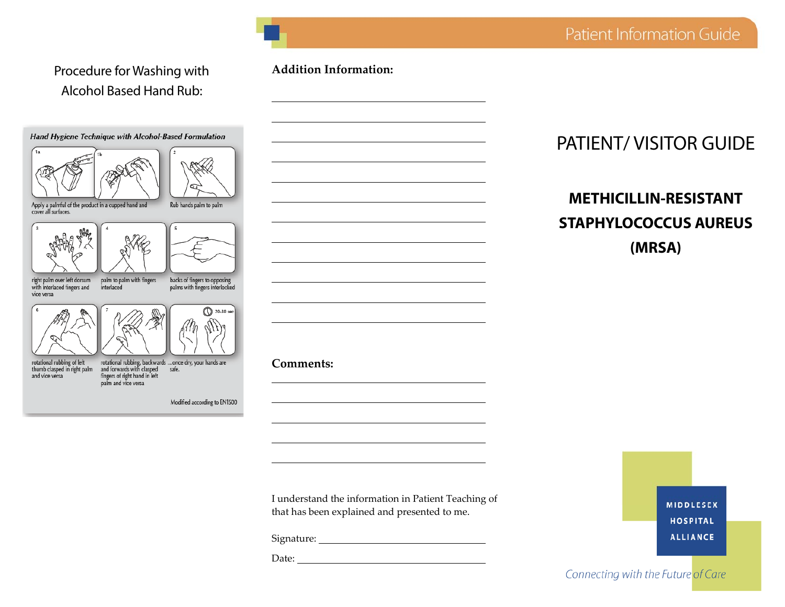# Procedure for Washing with Alcohol Based Hand Rub:



rotational rubbing, backwards ...once dry, your hands are<br>and forwards with clasped safe.<br>fingers of right hand in left palm and vice versa

Modified according to EN1500

#### **Addition Information:**



# PATIENT/ VISITOR GUIDE

# **METHICILLIN-RESISTANT STAPHYLOCOCCUS AUREUS (MRSA)**

I understand the information in Patient Teaching of that has been explained and presented to me.

Signature:

Date: **Date: Date: Date: Date: Date: Date: Date: Date: Date: Date: Date: Date: Date: Date: Date: Date: Date: Date: Date: Date: Date: Date: Date: Date: Date: Date: Date:**

# Connecting with the Future of Care

**MIDDLESEX HOSPITAL ALLIANCE**